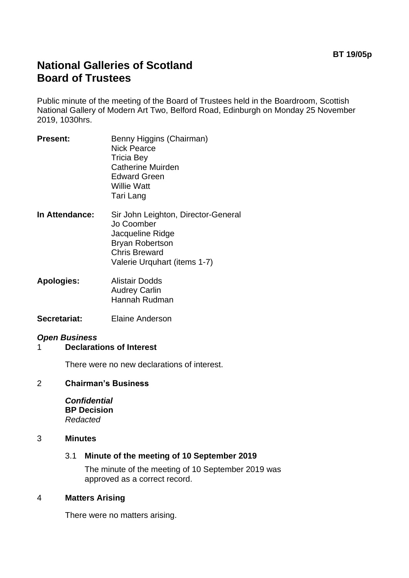# **National Galleries of Scotland Board of Trustees**

Public minute of the meeting of the Board of Trustees held in the Boardroom, Scottish National Gallery of Modern Art Two, Belford Road, Edinburgh on Monday 25 November 2019, 1030hrs.

- **Present:** Benny Higgins (Chairman) Nick Pearce Tricia Bey Catherine Muirden Edward Green Willie Watt Tari Lang
- **In Attendance:** Sir John Leighton, Director-General Jo Coomber Jacqueline Ridge Bryan Robertson Chris Breward Valerie Urquhart (items 1-7)
- **Apologies:** Alistair Dodds Audrey Carlin Hannah Rudman
- **Secretariat:** Elaine Anderson

## *Open Business*

1 **Declarations of Interest**

There were no new declarations of interest.

#### 2 **Chairman's Business**

*Confidential* **BP Decision** *Redacted*

#### 3 **Minutes**

#### 3.1 **Minute of the meeting of 10 September 2019**

The minute of the meeting of 10 September 2019 was approved as a correct record.

#### 4 **Matters Arising**

There were no matters arising.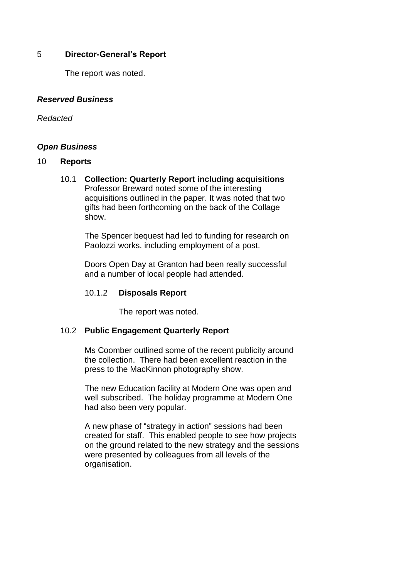## 5 **Director-General's Report**

The report was noted.

## *Reserved Business*

#### *Redacted*

## *Open Business*

#### 10 **Reports**

10.1 **Collection: Quarterly Report including acquisitions** Professor Breward noted some of the interesting acquisitions outlined in the paper. It was noted that two gifts had been forthcoming on the back of the Collage show.

> The Spencer bequest had led to funding for research on Paolozzi works, including employment of a post.

> Doors Open Day at Granton had been really successful and a number of local people had attended.

## 10.1.2 **Disposals Report**

The report was noted.

## 10.2 **Public Engagement Quarterly Report**

Ms Coomber outlined some of the recent publicity around the collection. There had been excellent reaction in the press to the MacKinnon photography show.

The new Education facility at Modern One was open and well subscribed. The holiday programme at Modern One had also been very popular.

A new phase of "strategy in action" sessions had been created for staff. This enabled people to see how projects on the ground related to the new strategy and the sessions were presented by colleagues from all levels of the organisation.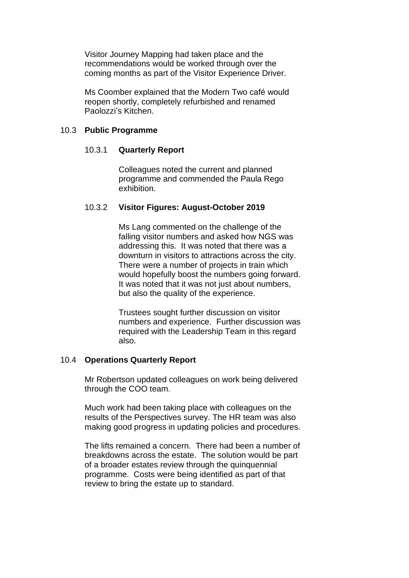Visitor Journey Mapping had taken place and the recommendations would be worked through over the coming months as part of the Visitor Experience Driver.

Ms Coomber explained that the Modern Two café would reopen shortly, completely refurbished and renamed Paolozzi's Kitchen.

#### 10.3 **Public Programme**

#### 10.3.1 **Quarterly Report**

Colleagues noted the current and planned programme and commended the Paula Rego exhibition.

#### 10.3.2 **Visitor Figures: August-October 2019**

Ms Lang commented on the challenge of the falling visitor numbers and asked how NGS was addressing this. It was noted that there was a downturn in visitors to attractions across the city. There were a number of projects in train which would hopefully boost the numbers going forward. It was noted that it was not just about numbers, but also the quality of the experience.

Trustees sought further discussion on visitor numbers and experience. Further discussion was required with the Leadership Team in this regard also.

#### 10.4 **Operations Quarterly Report**

Mr Robertson updated colleagues on work being delivered through the COO team.

Much work had been taking place with colleagues on the results of the Perspectives survey. The HR team was also making good progress in updating policies and procedures.

The lifts remained a concern. There had been a number of breakdowns across the estate. The solution would be part of a broader estates review through the quinquennial programme. Costs were being identified as part of that review to bring the estate up to standard.